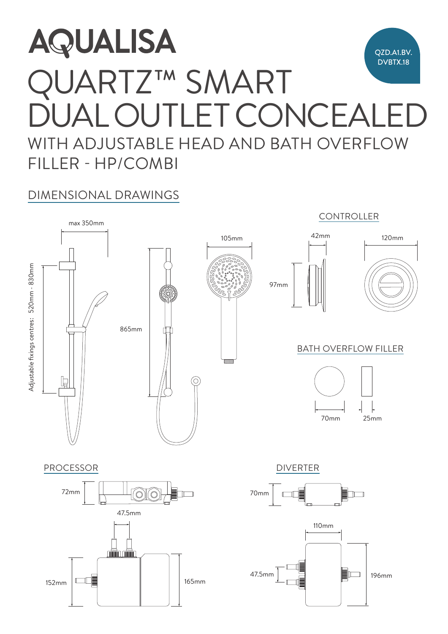## **AQUALISA** QZD.A1.BV. **Comment** DVBTX.18 QUARTZ™ SMART  $\mathbb{Z}$ DUAL OUTLET CONCEALED  $(1 - \wedge 1)$ AL VU I LL I WITH ADJUSTABLE HEAD AND BATH OVERFLOW FILLER - HP/COMBI

## DIMENSIONAL DRAWINGS